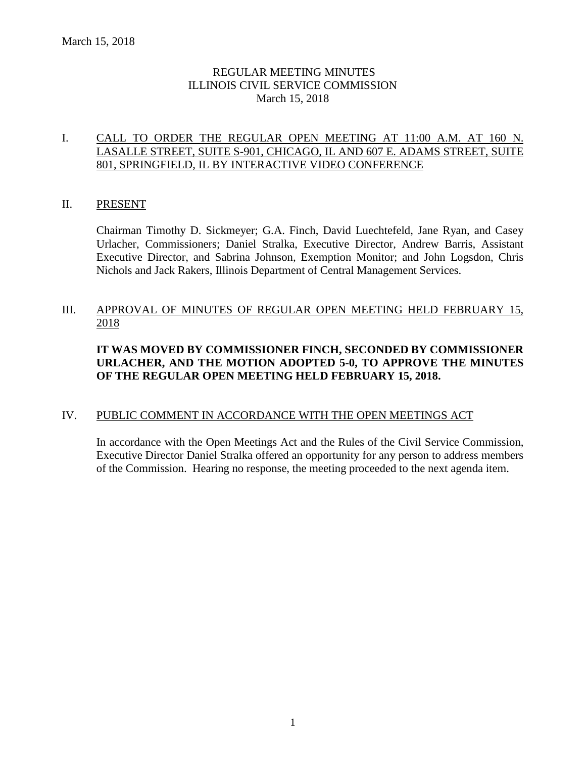## REGULAR MEETING MINUTES ILLINOIS CIVIL SERVICE COMMISSION March 15, 2018

## I. CALL TO ORDER THE REGULAR OPEN MEETING AT 11:00 A.M. AT 160 N. LASALLE STREET, SUITE S-901, CHICAGO, IL AND 607 E. ADAMS STREET, SUITE 801, SPRINGFIELD, IL BY INTERACTIVE VIDEO CONFERENCE

## II. PRESENT

Chairman Timothy D. Sickmeyer; G.A. Finch, David Luechtefeld, Jane Ryan, and Casey Urlacher, Commissioners; Daniel Stralka, Executive Director, Andrew Barris, Assistant Executive Director, and Sabrina Johnson, Exemption Monitor; and John Logsdon, Chris Nichols and Jack Rakers, Illinois Department of Central Management Services.

## III. APPROVAL OF MINUTES OF REGULAR OPEN MEETING HELD FEBRUARY 15, 2018

## **IT WAS MOVED BY COMMISSIONER FINCH, SECONDED BY COMMISSIONER URLACHER, AND THE MOTION ADOPTED 5-0, TO APPROVE THE MINUTES OF THE REGULAR OPEN MEETING HELD FEBRUARY 15, 2018.**

## IV. PUBLIC COMMENT IN ACCORDANCE WITH THE OPEN MEETINGS ACT

In accordance with the Open Meetings Act and the Rules of the Civil Service Commission, Executive Director Daniel Stralka offered an opportunity for any person to address members of the Commission. Hearing no response, the meeting proceeded to the next agenda item.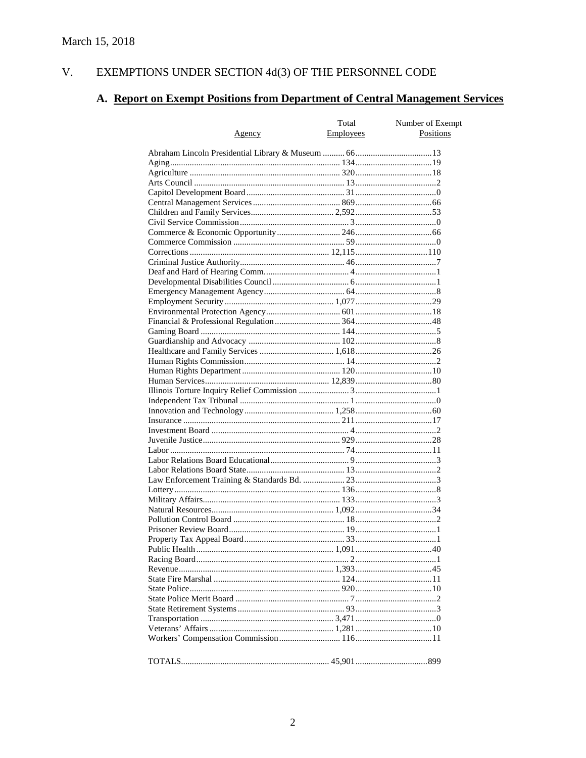#### EXEMPTIONS UNDER SECTION  $4d(3)$  OF THE PERSONNEL CODE V.

# A. Report on Exempt Positions from Department of Central Management Services

|               | Total     | Number of Exempt |
|---------------|-----------|------------------|
| <u>Agency</u> | Employees | Positions        |
|               |           |                  |
|               |           |                  |
|               |           |                  |
|               |           |                  |
|               |           |                  |
|               |           |                  |
|               |           |                  |
|               |           |                  |
|               |           |                  |
|               |           |                  |
|               |           |                  |
|               |           |                  |
|               |           |                  |
|               |           |                  |
|               |           |                  |
|               |           |                  |
|               |           |                  |
|               |           |                  |
|               |           |                  |
|               |           |                  |
|               |           |                  |
|               |           |                  |
|               |           |                  |
|               |           |                  |
|               |           |                  |
|               |           |                  |
|               |           |                  |
|               |           |                  |
|               |           |                  |
|               |           |                  |
|               |           |                  |
|               |           |                  |
|               |           |                  |
|               |           |                  |
|               |           |                  |
|               |           |                  |
|               |           |                  |
|               |           |                  |
|               |           |                  |
|               |           |                  |
|               |           |                  |
|               |           |                  |
|               |           |                  |
|               |           |                  |
|               |           |                  |
|               |           |                  |
|               |           |                  |
|               |           |                  |
|               |           |                  |
|               |           |                  |
|               |           |                  |
|               |           |                  |
|               |           |                  |
|               |           |                  |
|               |           |                  |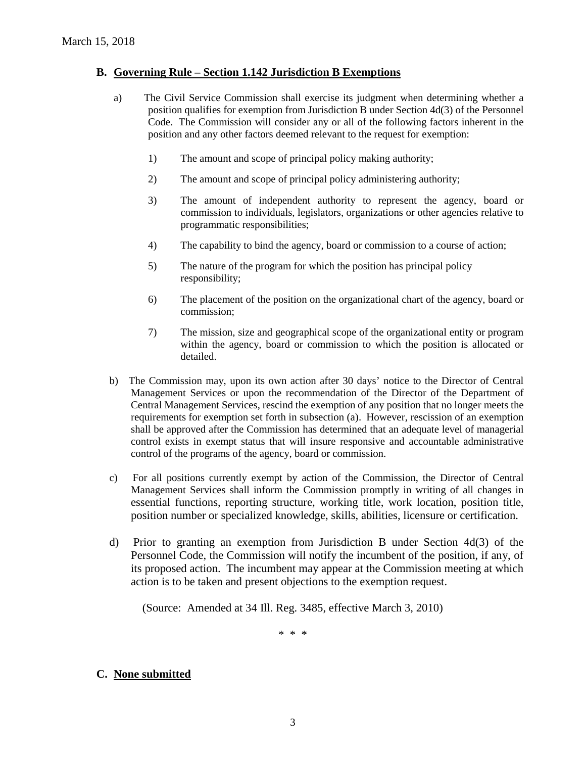## **B. Governing Rule – Section 1.142 Jurisdiction B Exemptions**

- a) The Civil Service Commission shall exercise its judgment when determining whether a position qualifies for exemption from Jurisdiction B under Section 4d(3) of the Personnel Code. The Commission will consider any or all of the following factors inherent in the position and any other factors deemed relevant to the request for exemption:
	- 1) The amount and scope of principal policy making authority;
	- 2) The amount and scope of principal policy administering authority;
	- 3) The amount of independent authority to represent the agency, board or commission to individuals, legislators, organizations or other agencies relative to programmatic responsibilities;
	- 4) The capability to bind the agency, board or commission to a course of action;
	- 5) The nature of the program for which the position has principal policy responsibility;
	- 6) The placement of the position on the organizational chart of the agency, board or commission;
	- 7) The mission, size and geographical scope of the organizational entity or program within the agency, board or commission to which the position is allocated or detailed.
- b) The Commission may, upon its own action after 30 days' notice to the Director of Central Management Services or upon the recommendation of the Director of the Department of Central Management Services, rescind the exemption of any position that no longer meets the requirements for exemption set forth in subsection (a). However, rescission of an exemption shall be approved after the Commission has determined that an adequate level of managerial control exists in exempt status that will insure responsive and accountable administrative control of the programs of the agency, board or commission.
- c) For all positions currently exempt by action of the Commission, the Director of Central Management Services shall inform the Commission promptly in writing of all changes in essential functions, reporting structure, working title, work location, position title, position number or specialized knowledge, skills, abilities, licensure or certification.
- d) Prior to granting an exemption from Jurisdiction B under Section 4d(3) of the Personnel Code, the Commission will notify the incumbent of the position, if any, of its proposed action. The incumbent may appear at the Commission meeting at which action is to be taken and present objections to the exemption request.

(Source: Amended at 34 Ill. Reg. 3485, effective March 3, 2010)

\* \* \*

## **C. None submitted**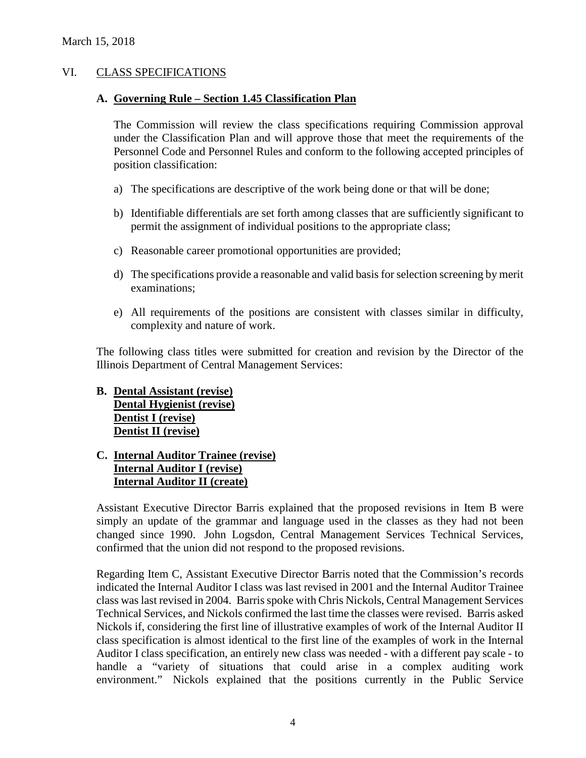## VI. CLASS SPECIFICATIONS

#### **A. Governing Rule – Section 1.45 Classification Plan**

The Commission will review the class specifications requiring Commission approval under the Classification Plan and will approve those that meet the requirements of the Personnel Code and Personnel Rules and conform to the following accepted principles of position classification:

- a) The specifications are descriptive of the work being done or that will be done;
- b) Identifiable differentials are set forth among classes that are sufficiently significant to permit the assignment of individual positions to the appropriate class;
- c) Reasonable career promotional opportunities are provided;
- d) The specifications provide a reasonable and valid basis for selection screening by merit examinations;
- e) All requirements of the positions are consistent with classes similar in difficulty, complexity and nature of work.

The following class titles were submitted for creation and revision by the Director of the Illinois Department of Central Management Services:

## **B. Dental Assistant (revise) Dental Hygienist (revise) Dentist I (revise) Dentist II (revise)**

## **C. Internal Auditor Trainee (revise) Internal Auditor I (revise) Internal Auditor II (create)**

Assistant Executive Director Barris explained that the proposed revisions in Item B were simply an update of the grammar and language used in the classes as they had not been changed since 1990. John Logsdon, Central Management Services Technical Services, confirmed that the union did not respond to the proposed revisions.

Regarding Item C, Assistant Executive Director Barris noted that the Commission's records indicated the Internal Auditor I class was last revised in 2001 and the Internal Auditor Trainee class was last revised in 2004. Barris spoke with Chris Nickols, Central Management Services Technical Services, and Nickols confirmed the last time the classes were revised. Barris asked Nickols if, considering the first line of illustrative examples of work of the Internal Auditor II class specification is almost identical to the first line of the examples of work in the Internal Auditor I class specification, an entirely new class was needed - with a different pay scale - to handle a "variety of situations that could arise in a complex auditing work environment." Nickols explained that the positions currently in the Public Service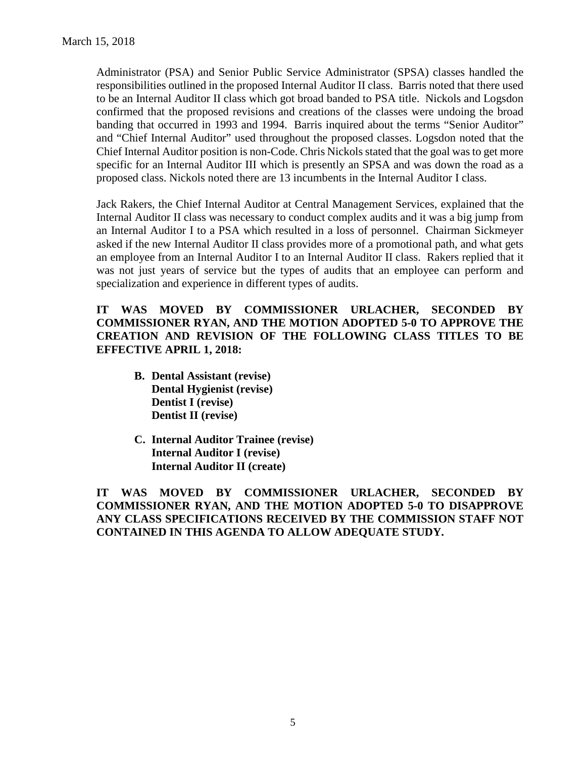Administrator (PSA) and Senior Public Service Administrator (SPSA) classes handled the responsibilities outlined in the proposed Internal Auditor II class. Barris noted that there used to be an Internal Auditor II class which got broad banded to PSA title. Nickols and Logsdon confirmed that the proposed revisions and creations of the classes were undoing the broad banding that occurred in 1993 and 1994. Barris inquired about the terms "Senior Auditor" and "Chief Internal Auditor" used throughout the proposed classes. Logsdon noted that the Chief Internal Auditor position is non-Code. Chris Nickols stated that the goal was to get more specific for an Internal Auditor III which is presently an SPSA and was down the road as a proposed class. Nickols noted there are 13 incumbents in the Internal Auditor I class.

Jack Rakers, the Chief Internal Auditor at Central Management Services, explained that the Internal Auditor II class was necessary to conduct complex audits and it was a big jump from an Internal Auditor I to a PSA which resulted in a loss of personnel. Chairman Sickmeyer asked if the new Internal Auditor II class provides more of a promotional path, and what gets an employee from an Internal Auditor I to an Internal Auditor II class. Rakers replied that it was not just years of service but the types of audits that an employee can perform and specialization and experience in different types of audits.

## **IT WAS MOVED BY COMMISSIONER URLACHER, SECONDED BY COMMISSIONER RYAN, AND THE MOTION ADOPTED 5-0 TO APPROVE THE CREATION AND REVISION OF THE FOLLOWING CLASS TITLES TO BE EFFECTIVE APRIL 1, 2018:**

- **B. Dental Assistant (revise) Dental Hygienist (revise) Dentist I (revise) Dentist II (revise)**
- **C. Internal Auditor Trainee (revise) Internal Auditor I (revise) Internal Auditor II (create)**

**IT WAS MOVED BY COMMISSIONER URLACHER, SECONDED BY COMMISSIONER RYAN, AND THE MOTION ADOPTED 5-0 TO DISAPPROVE ANY CLASS SPECIFICATIONS RECEIVED BY THE COMMISSION STAFF NOT CONTAINED IN THIS AGENDA TO ALLOW ADEQUATE STUDY.**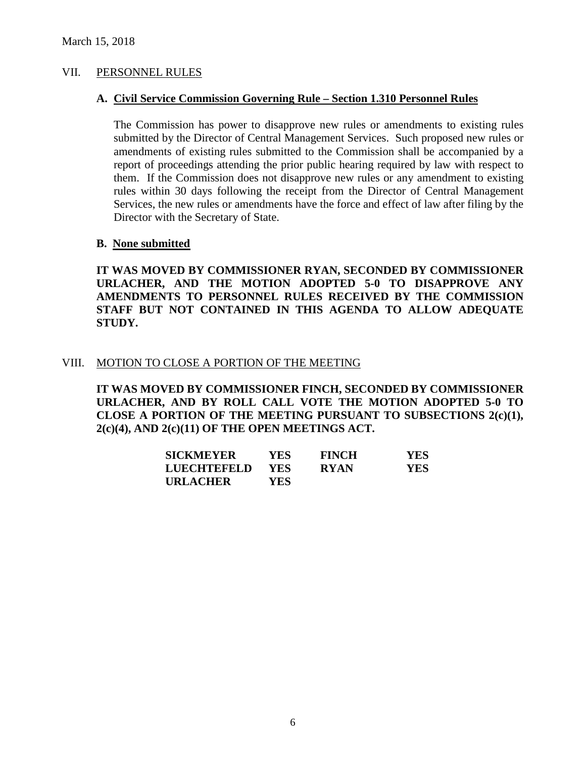### VII. PERSONNEL RULES

#### **A. Civil Service Commission Governing Rule – Section 1.310 Personnel Rules**

The Commission has power to disapprove new rules or amendments to existing rules submitted by the Director of Central Management Services. Such proposed new rules or amendments of existing rules submitted to the Commission shall be accompanied by a report of proceedings attending the prior public hearing required by law with respect to them. If the Commission does not disapprove new rules or any amendment to existing rules within 30 days following the receipt from the Director of Central Management Services, the new rules or amendments have the force and effect of law after filing by the Director with the Secretary of State.

#### **B. None submitted**

**IT WAS MOVED BY COMMISSIONER RYAN, SECONDED BY COMMISSIONER URLACHER, AND THE MOTION ADOPTED 5-0 TO DISAPPROVE ANY AMENDMENTS TO PERSONNEL RULES RECEIVED BY THE COMMISSION STAFF BUT NOT CONTAINED IN THIS AGENDA TO ALLOW ADEQUATE STUDY.** 

#### VIII. MOTION TO CLOSE A PORTION OF THE MEETING

**IT WAS MOVED BY COMMISSIONER FINCH, SECONDED BY COMMISSIONER URLACHER, AND BY ROLL CALL VOTE THE MOTION ADOPTED 5-0 TO CLOSE A PORTION OF THE MEETING PURSUANT TO SUBSECTIONS 2(c)(1), 2(c)(4), AND 2(c)(11) OF THE OPEN MEETINGS ACT.**

| <b>SICKMEYER</b>   | YES. | <b>FINCH</b> | <b>YES</b> |
|--------------------|------|--------------|------------|
| <b>LUECHTEFELD</b> | YES. | <b>RYAN</b>  | <b>YES</b> |
| <b>URLACHER</b>    | YES  |              |            |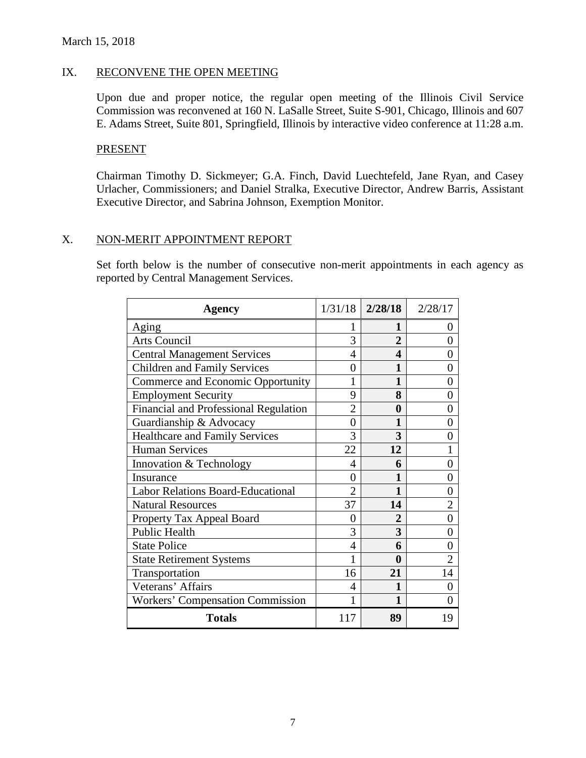## IX. RECONVENE THE OPEN MEETING

Upon due and proper notice, the regular open meeting of the Illinois Civil Service Commission was reconvened at 160 N. LaSalle Street, Suite S-901, Chicago, Illinois and 607 E. Adams Street, Suite 801, Springfield, Illinois by interactive video conference at 11:28 a.m.

### PRESENT

Chairman Timothy D. Sickmeyer; G.A. Finch, David Luechtefeld, Jane Ryan, and Casey Urlacher, Commissioners; and Daniel Stralka, Executive Director, Andrew Barris, Assistant Executive Director, and Sabrina Johnson, Exemption Monitor.

## X. NON-MERIT APPOINTMENT REPORT

Set forth below is the number of consecutive non-merit appointments in each agency as reported by Central Management Services.

| <b>Agency</b>                            | 1/31/18                     | 2/28/18        | 2/28/17           |
|------------------------------------------|-----------------------------|----------------|-------------------|
| Aging                                    |                             |                | $\theta$          |
| <b>Arts Council</b>                      | 3                           | $\overline{2}$ | 0                 |
| <b>Central Management Services</b>       | 4                           | 4              | 0                 |
| <b>Children and Family Services</b>      | 0                           |                | $\theta$          |
| Commerce and Economic Opportunity        |                             |                | 0                 |
| <b>Employment Security</b>               | 9                           | 8              | 0                 |
| Financial and Professional Regulation    | $\overline{2}$              | 0              | 0                 |
| Guardianship & Advocacy                  | 0                           |                | $\mathbf{\Omega}$ |
| <b>Healthcare and Family Services</b>    | 3                           | 3              | 0                 |
| <b>Human Services</b>                    | 22                          | 12             |                   |
| Innovation & Technology                  | 4                           | 6              | 0                 |
| Insurance                                | 0                           |                | 0                 |
| <b>Labor Relations Board-Educational</b> | $\mathcal{D}_{\mathcal{L}}$ |                | 0                 |
| <b>Natural Resources</b>                 | 37                          | 14             |                   |
| Property Tax Appeal Board                | 0                           |                | 0                 |
| Public Health                            | 3                           | 3              | $\mathbf{\Omega}$ |
| <b>State Police</b>                      | 4                           | 6              | 0                 |
| <b>State Retirement Systems</b>          |                             | 0              |                   |
| Transportation                           | 16                          | 21             | 14                |
| Veterans' Affairs                        | 4                           |                | 0                 |
| <b>Workers' Compensation Commission</b>  |                             |                | 0                 |
| <b>Totals</b>                            | 117                         | 89             | 19                |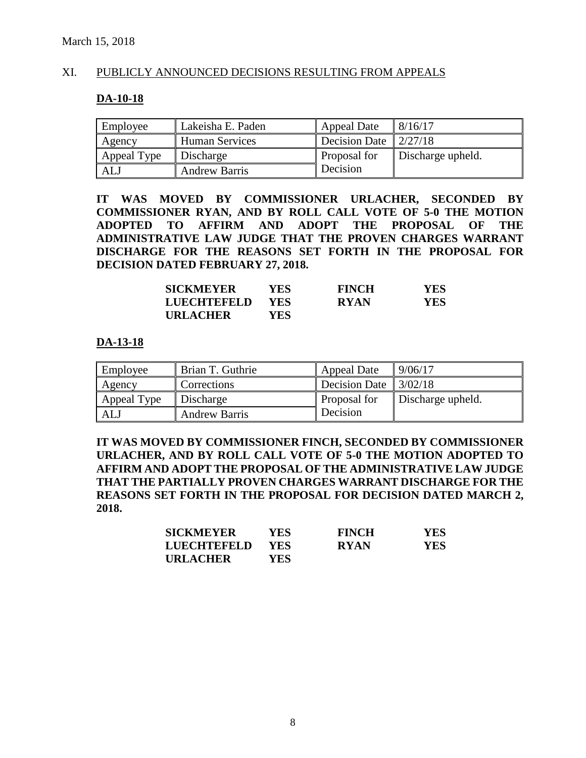### XI. PUBLICLY ANNOUNCED DECISIONS RESULTING FROM APPEALS

#### **DA-10-18**

| Employee    | Lakeisha E. Paden     | <b>Appeal Date</b>   | 8/16/17           |
|-------------|-----------------------|----------------------|-------------------|
| Agency      | <b>Human Services</b> | <b>Decision Date</b> | 2/27/18           |
| Appeal Type | Discharge             | Proposal for         | Discharge upheld. |
| ALJ         | <b>Andrew Barris</b>  | Decision             |                   |

**IT WAS MOVED BY COMMISSIONER URLACHER, SECONDED BY COMMISSIONER RYAN, AND BY ROLL CALL VOTE OF 5-0 THE MOTION ADOPTED TO AFFIRM AND ADOPT THE PROPOSAL OF THE ADMINISTRATIVE LAW JUDGE THAT THE PROVEN CHARGES WARRANT DISCHARGE FOR THE REASONS SET FORTH IN THE PROPOSAL FOR DECISION DATED FEBRUARY 27, 2018.**

| <b>SICKMEYER</b> | YES.       | <b>FINCH</b> | YES |
|------------------|------------|--------------|-----|
| LUECHTEFELD      | <b>YES</b> | <b>RYAN</b>  | YES |
| <b>URLACHER</b>  | YES        |              |     |

#### **DA-13-18**

| Employee    | Brian T. Guthrie     | <b>Appeal Date</b>      | 9/06/17           |
|-------------|----------------------|-------------------------|-------------------|
| Agency      | Corrections          | Decision Date $3/02/18$ |                   |
| Appeal Type | Discharge            | Proposal for            | Discharge upheld. |
| <b>ALJ</b>  | <b>Andrew Barris</b> | Decision                |                   |

**IT WAS MOVED BY COMMISSIONER FINCH, SECONDED BY COMMISSIONER URLACHER, AND BY ROLL CALL VOTE OF 5-0 THE MOTION ADOPTED TO AFFIRM AND ADOPT THE PROPOSAL OF THE ADMINISTRATIVE LAW JUDGE THAT THE PARTIALLY PROVEN CHARGES WARRANT DISCHARGE FOR THE REASONS SET FORTH IN THE PROPOSAL FOR DECISION DATED MARCH 2, 2018.**

| <b>SICKMEYER</b>   | YES-       | <b>FINCH</b> | <b>YES</b> |
|--------------------|------------|--------------|------------|
| <b>LUECHTEFELD</b> | <b>YES</b> | <b>RYAN</b>  | YES        |
| <b>URLACHER</b>    | YES.       |              |            |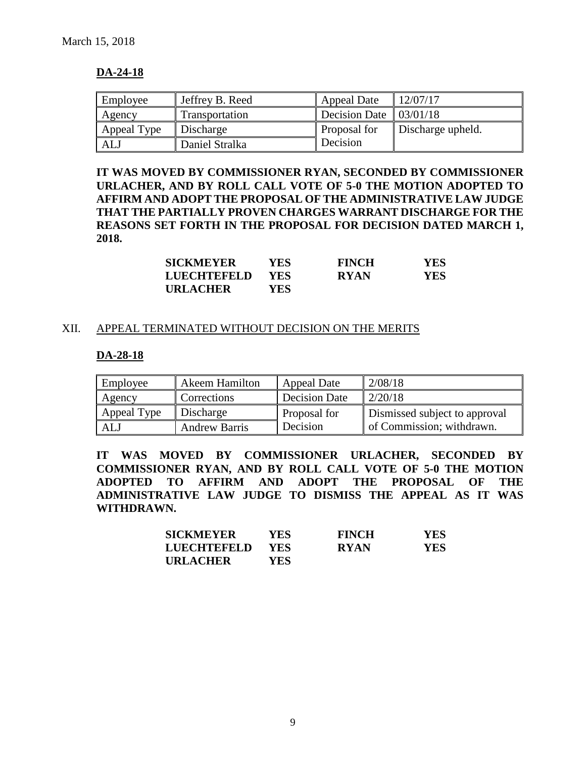## **DA-24-18**

| Employee    | Jeffrey B. Reed | <b>Appeal Date</b>                | 12/07/17          |
|-------------|-----------------|-----------------------------------|-------------------|
| Agency      | Transportation  | Decision Date $\frac{103}{01/18}$ |                   |
| Appeal Type | Discharge       | Proposal for                      | Discharge upheld. |
| ALJ         | Daniel Stralka  | Decision                          |                   |

**IT WAS MOVED BY COMMISSIONER RYAN, SECONDED BY COMMISSIONER URLACHER, AND BY ROLL CALL VOTE OF 5-0 THE MOTION ADOPTED TO AFFIRM AND ADOPT THE PROPOSAL OF THE ADMINISTRATIVE LAW JUDGE THAT THE PARTIALLY PROVEN CHARGES WARRANT DISCHARGE FOR THE REASONS SET FORTH IN THE PROPOSAL FOR DECISION DATED MARCH 1, 2018.**

| <b>SICKMEYER</b> | <b>YES</b> | <b>FINCH</b> | YES |
|------------------|------------|--------------|-----|
| LUECHTEFELD      | YES.       | <b>RYAN</b>  | YES |
| <b>URLACHER</b>  | YES.       |              |     |

#### XII. APPEAL TERMINATED WITHOUT DECISION ON THE MERITS

#### **DA-28-18**

| Employee    | Akeem Hamilton       | <b>Appeal Date</b> | 2/08/18                       |
|-------------|----------------------|--------------------|-------------------------------|
| Agency      | Corrections          | Decision Date      | 2/20/18                       |
| Appeal Type | Discharge            | Proposal for       | Dismissed subject to approval |
| ALJ         | <b>Andrew Barris</b> | Decision           | of Commission; withdrawn.     |

**IT WAS MOVED BY COMMISSIONER URLACHER, SECONDED BY COMMISSIONER RYAN, AND BY ROLL CALL VOTE OF 5-0 THE MOTION ADOPTED TO AFFIRM AND ADOPT THE PROPOSAL OF THE ADMINISTRATIVE LAW JUDGE TO DISMISS THE APPEAL AS IT WAS WITHDRAWN.**

| <b>SICKMEYER</b>   | YES- | <b>FINCH</b> | YES. |
|--------------------|------|--------------|------|
| <b>LUECHTEFELD</b> | YES. | <b>RYAN</b>  | YES. |
| <b>URLACHER</b>    | YES  |              |      |